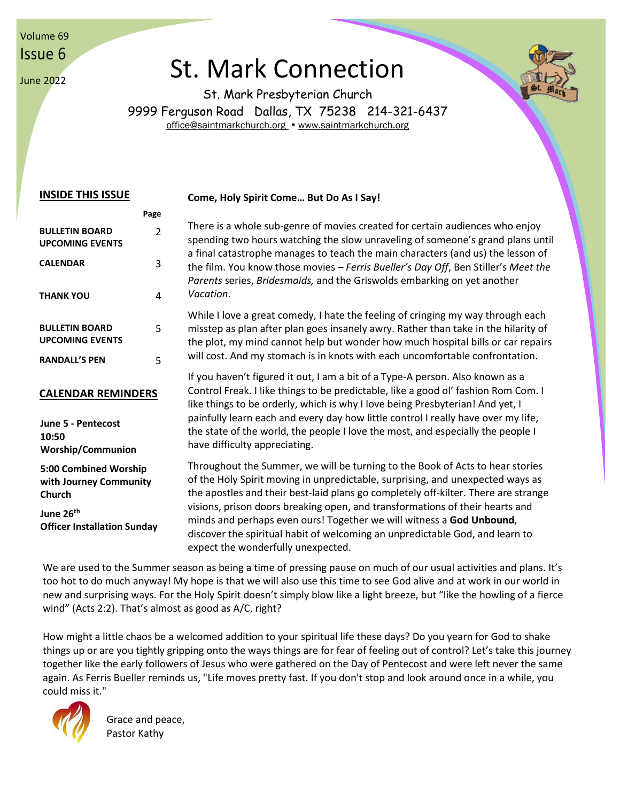Volume 69 Issue 6

June 2022

# St. Mark Connection



St. Mark Presbyterian Church 9999 Ferguson Road Dallas, TX 75238 214-321-6437 [office@saintmarkchurch.org](mailto:office@saintmarkchurch.org) • [www.saintmarkchurch.org](http://www.saintmarkchurch.org/)

#### **INSIDE THIS ISSUE Page BULLETIN BOARD UPCOMING EVENTS** 2 **CALENDAR** 3 **THANK YOU** 4 **BULLETIN BOARD UPCOMING EVENTS** 5 **RANDALL'S PEN** 5 **CALENDAR REMINDERS June 5 - Pentecost 10:50 Worship/Communion 5:00 Combined Worship with Journey Community Church June 26th Officer Installation Sunday Come, Holy Spirit Come… But Do As I Say!** There is a whole sub-genre of movies created for certain audiences who enjoy spending two hours watching the slow unraveling of someone's grand plans until a final catastrophe manages to teach the main characters (and us) the lesson of the film. You know those movies – *Ferris Bueller's Day Off*, Ben Stiller's *Meet the Parents* series, *Bridesmaids,* and the Griswolds embarking on yet another *Vacation*. While I love a great comedy, I hate the feeling of cringing my way through each misstep as plan after plan goes insanely awry. Rather than take in the hilarity of the plot, my mind cannot help but wonder how much hospital bills or car repairs will cost. And my stomach is in knots with each uncomfortable confrontation. If you haven't figured it out, I am a bit of a Type-A person. Also known as a Control Freak. I like things to be predictable, like a good ol' fashion Rom Com. I like things to be orderly, which is why I love being Presbyterian! And yet, I painfully learn each and every day how little control I really have over my life, the state of the world, the people I love the most, and especially the people I have difficulty appreciating. Throughout the Summer, we will be turning to the Book of Acts to hear stories of the Holy Spirit moving in unpredictable, surprising, and unexpected ways as the apostles and their best-laid plans go completely off-kilter. There are strange visions, prison doors breaking open, and transformations of their hearts and minds and perhaps even ours! Together we will witness a **God Unbound**, discover the spiritual habit of welcoming an unpredictable God, and learn to expect the wonderfully unexpected.

We are used to the Summer season as being a time of pressing pause on much of our usual activities and plans. It's too hot to do much anyway! My hope is that we will also use this time to see God alive and at work in our world in new and surprising ways. For the Holy Spirit doesn't simply blow like a light breeze, but "like the howling of a fierce wind" (Acts 2:2). That's almost as good as A/C, right?

How might a little chaos be a welcomed addition to your spiritual life these days? Do you yearn for God to shake things up or are you tightly gripping onto the ways things are for fear of feeling out of control? Let's take this journey together like the early followers of Jesus who were gathered on the Day of Pentecost and were left never the same again. As Ferris Bueller reminds us, "Life moves pretty fast. If you don't stop and look around once in a while, you could miss it."



Grace and peace, Pastor Kathy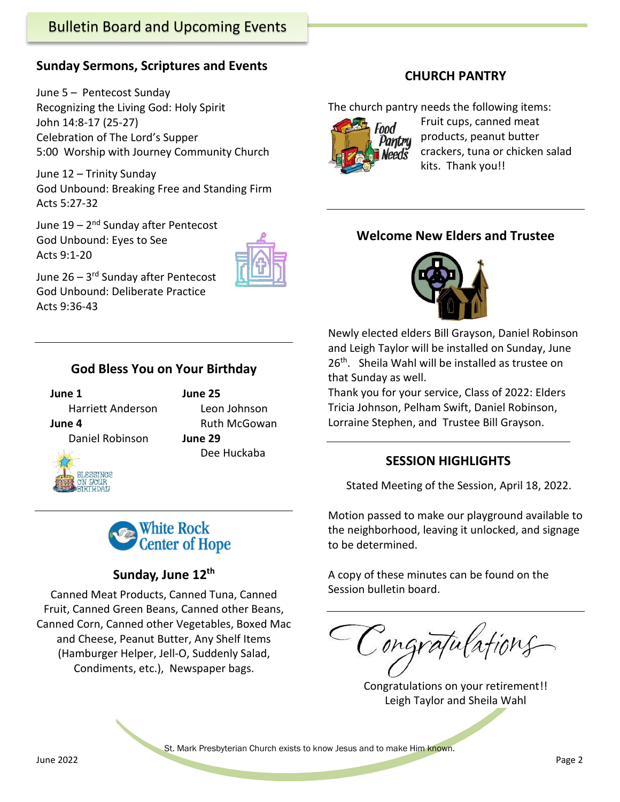# Bulletin Board and Upcoming Events

#### **Sunday Sermons, Scriptures and Events**

June 5 – Pentecost Sunday Recognizing the Living God: Holy Spirit John 14:8-17 (25-27) Celebration of The Lord's Supper 5:00 Worship with Journey Community Church

June 12 – Trinity Sunday God Unbound: Breaking Free and Standing Firm Acts 5:27-32

June 19 – 2<sup>nd</sup> Sunday after Pentecost God Unbound: Eyes to See Acts 9:1-20



June 26 – 3<sup>rd</sup> Sunday after Pentecost God Unbound: Deliberate Practice Acts 9:36-43

#### **God Bless You on Your Birthday**

 **June 1 June 25** Harriett Anderson Leon Johnson **June 4** Ruth McGowan Daniel Robinson **June 29**





### **Sunday, June 12 th**

Canned Meat Products, Canned Tuna, Canned Fruit, Canned Green Beans, Canned other Beans, Canned Corn, Canned other Vegetables, Boxed Mac and Cheese, Peanut Butter, Any Shelf Items (Hamburger Helper, Jell-O, Suddenly Salad, Condiments, etc.), Newspaper bags.

#### **CHURCH PANTRY**

The church pantry needs the following items:



Fruit cups, canned meat products, peanut butter crackers, tuna or chicken salad kits. Thank you!!

#### **Welcome New Elders and Trustee**



Newly elected elders Bill Grayson, Daniel Robinson and Leigh Taylor will be installed on Sunday, June 26<sup>th</sup>. Sheila Wahl will be installed as trustee on that Sunday as well.

Thank you for your service, Class of 2022: Elders Tricia Johnson, Pelham Swift, Daniel Robinson, Lorraine Stephen, and Trustee Bill Grayson.

#### **SESSION HIGHLIGHTS**

Stated Meeting of the Session, April 18, 2022.

Motion passed to make our playground available to the neighborhood, leaving it unlocked, and signage to be determined.

A copy of these minutes can be found on the Session bulletin board.

ongratulations

Congratulations on your retirement!! Leigh Taylor and Sheila Wahl

St. Mark Presbyterian Church exists to know Jesus and to make Him known.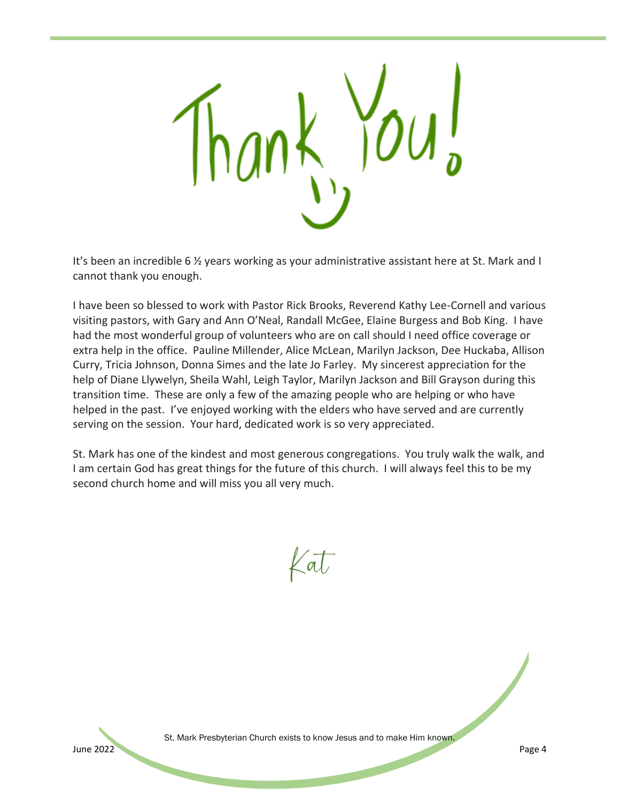

It's been an incredible 6 ½ years working as your administrative assistant here at St. Mark and I cannot thank you enough.

I have been so blessed to work with Pastor Rick Brooks, Reverend Kathy Lee-Cornell and various visiting pastors, with Gary and Ann O'Neal, Randall McGee, Elaine Burgess and Bob King. I have had the most wonderful group of volunteers who are on call should I need office coverage or extra help in the office. Pauline Millender, Alice McLean, Marilyn Jackson, Dee Huckaba, Allison Curry, Tricia Johnson, Donna Simes and the late Jo Farley. My sincerest appreciation for the help of Diane Llywelyn, Sheila Wahl, Leigh Taylor, Marilyn Jackson and Bill Grayson during this transition time. These are only a few of the amazing people who are helping or who have helped in the past. I've enjoyed working with the elders who have served and are currently serving on the session. Your hard, dedicated work is so very appreciated.

St. Mark has one of the kindest and most generous congregations. You truly walk the walk, and I am certain God has great things for the future of this church. I will always feel this to be my second church home and will miss you all very much.

Kat



St. Mark Presbyterian Church exists to know Jesus and to make Him known.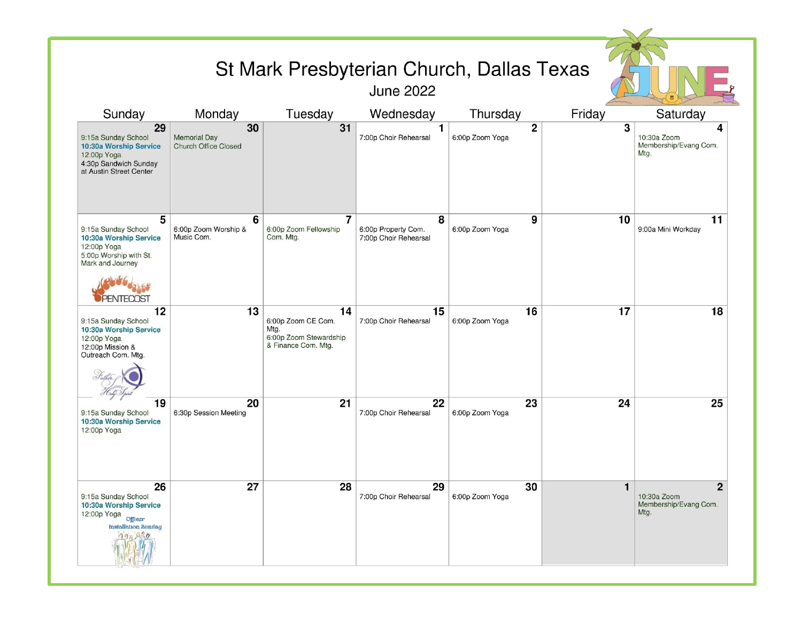| St Mark Presbyterian Church, Dallas Texas<br><b>June 2022</b>                                                                       |                                                          |                                                                                   |                                                   |                                   |        |                                                              |
|-------------------------------------------------------------------------------------------------------------------------------------|----------------------------------------------------------|-----------------------------------------------------------------------------------|---------------------------------------------------|-----------------------------------|--------|--------------------------------------------------------------|
| Sunday                                                                                                                              | Monday                                                   | Tuesday                                                                           | Wednesday                                         | Thursday                          | Friday | Saturday                                                     |
| 29<br>9:15a Sunday School<br>10:30a Worship Service<br>12:00p Yoga<br>4:30p Sandwich Sunday<br>at Austin Street Center              | 30<br><b>Memorial Day</b><br><b>Church Office Closed</b> | 31                                                                                | $\mathbf{1}$<br>7:00p Choir Rehearsal             | $\overline{2}$<br>6:00p Zoom Yoga | 3      | 4<br>10:30a Zoom<br>Membership/Evang Com.<br>Mtg.            |
| 5<br>9:15a Sunday School<br>10:30a Worship Service<br>12:00p Yoga<br>5:00p Worship with St.<br>Mark and Journey                     | 6<br>6:00p Zoom Worship &<br>Music Com.                  | 7<br>6:00p Zoom Fellowship<br>Com. Mtg.                                           | 8<br>6:00p Property Com.<br>7:00p Choir Rehearsal | 9<br>6:00p Zoom Yoga              | 10     | 11<br>9:00a Mini Workday                                     |
| 12<br>9:15a Sunday School<br>10:30a Worship Service<br>12:00p Yoga<br>12:00p Mission &<br>Outreach Com. Mtg.                        | 13                                                       | 14<br>6:00p Zoom CE Com.<br>Mtg.<br>6:00p Zoom Stewardship<br>& Finance Com. Mtg. | 15<br>7:00p Choir Rehearsal                       | 16<br>6:00p Zoom Yoga             | 17     | 18                                                           |
| 19<br>9:15a Sunday School<br>10:30a Worship Service                                                                                 | 20<br>6:30p Session Meeting                              | 21                                                                                | 22<br>7:00p Choir Rehearsal                       | 23<br>6:00p Zoom Yoga             | 24     | 25                                                           |
| 12:00p Yoga                                                                                                                         |                                                          |                                                                                   |                                                   |                                   |        |                                                              |
| 26<br>9:15a Sunday School<br>10:30a Worship Service<br>12:00p Yoga Officer<br><b>Installation Sunday</b><br>0.20<br>00 <sup>n</sup> | 27                                                       | 28                                                                                | 29<br>7:00p Choir Rehearsal                       | 30<br>6:00p Zoom Yoga             | 1      | $\mathbf{2}$<br>10:30a Zoom<br>Membership/Evang Com.<br>Mtg. |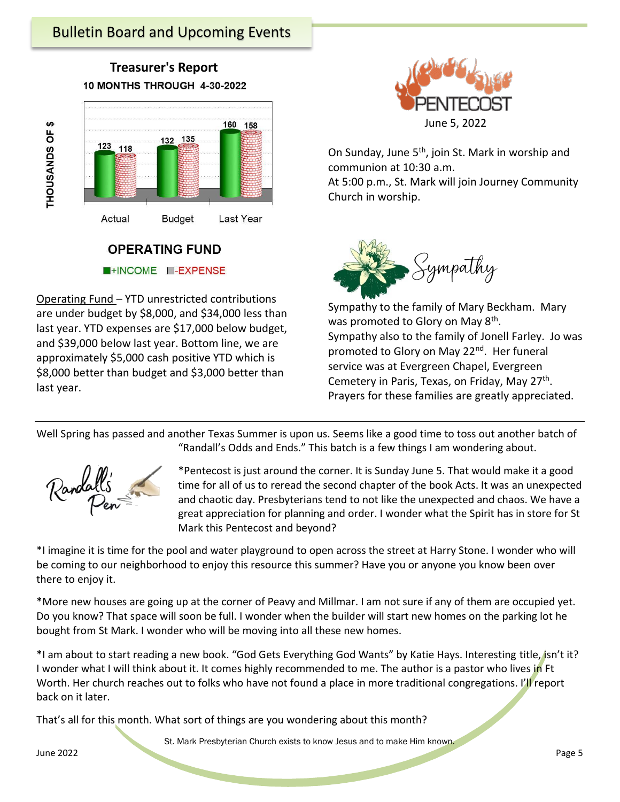



# **OPERATING FUND** HINCOME **E-EXPENSE**

Operating Fund – YTD unrestricted contributions are under budget by \$8,000, and \$34,000 less than last year. YTD expenses are \$17,000 below budget, and \$39,000 below last year. Bottom line, we are approximately \$5,000 cash positive YTD which is \$8,000 better than budget and \$3,000 better than last year.



On Sunday, June 5<sup>th</sup>, join St. Mark in worship and communion at 10:30 a.m.

At 5:00 p.m., St. Mark will join Journey Community Church in worship.



Sympathy to the family of Mary Beckham. Mary was promoted to Glory on May 8<sup>th</sup>. Sympathy also to the family of Jonell Farley. Jo was promoted to Glory on May 22<sup>nd</sup>. Her funeral service was at Evergreen Chapel, Evergreen Cemetery in Paris, Texas, on Friday, May 27<sup>th</sup>. Prayers for these families are greatly appreciated.

Well Spring has passed and another Texas Summer is upon us. Seems like a good time to toss out another batch of "Randall's Odds and Ends." This batch is a few things I am wondering about.



THOUSANDS OF \$

\*Pentecost is just around the corner. It is Sunday June 5. That would make it a good time for all of us to reread the second chapter of the book Acts. It was an unexpected and chaotic day. Presbyterians tend to not like the unexpected and chaos. We have a great appreciation for planning and order. I wonder what the Spirit has in store for St Mark this Pentecost and beyond?

\*I imagine it is time for the pool and water playground to open across the street at Harry Stone. I wonder who will be coming to our neighborhood to enjoy this resource this summer? Have you or anyone you know been over there to enjoy it.

\*More new houses are going up at the corner of Peavy and Millmar. I am not sure if any of them are occupied yet. Do you know? That space will soon be full. I wonder when the builder will start new homes on the parking lot he bought from St Mark. I wonder who will be moving into all these new homes.

\*I am about to start reading a new book. "God Gets Everything God Wants" by Katie Hays. Interesting title, isn't it? I wonder what I will think about it. It comes highly recommended to me. The author is a pastor who lives in Ft Worth. Her church reaches out to folks who have not found a place in more traditional congregations. I'll report back on it later.

That's all for this month. What sort of things are you wondering about this month?

St. Mark Presbyterian Church exists to know Jesus and to make Him known.